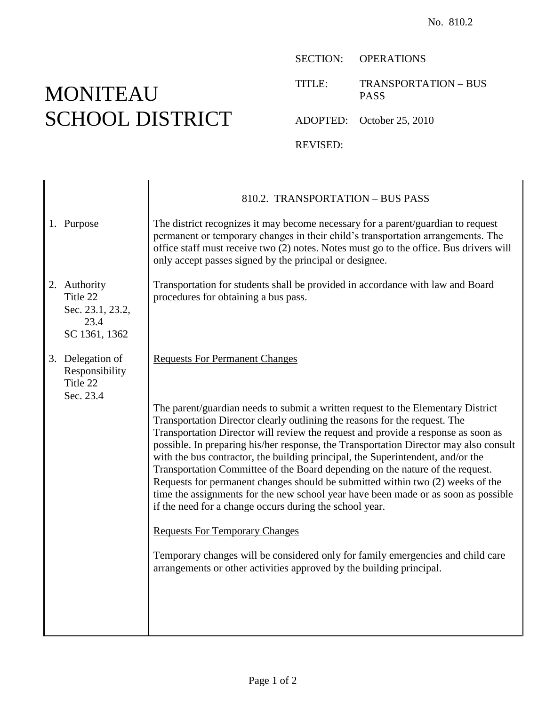## MONITEAU SCHOOL DISTRICT

SECTION: OPERATIONS

TITLE: TRANSPORTATION – BUS PASS

ADOPTED: October 25, 2010

REVISED:

|                                                                       | 810.2. TRANSPORTATION - BUS PASS                                                                                                                                                                                                                                                                                                                                                                                                                                                                                                                                                                                                                                                                                                                    |
|-----------------------------------------------------------------------|-----------------------------------------------------------------------------------------------------------------------------------------------------------------------------------------------------------------------------------------------------------------------------------------------------------------------------------------------------------------------------------------------------------------------------------------------------------------------------------------------------------------------------------------------------------------------------------------------------------------------------------------------------------------------------------------------------------------------------------------------------|
| 1. Purpose                                                            | The district recognizes it may become necessary for a parent/guardian to request<br>permanent or temporary changes in their child's transportation arrangements. The<br>office staff must receive two (2) notes. Notes must go to the office. Bus drivers will<br>only accept passes signed by the principal or designee.                                                                                                                                                                                                                                                                                                                                                                                                                           |
| 2. Authority<br>Title 22<br>Sec. 23.1, 23.2,<br>23.4<br>SC 1361, 1362 | Transportation for students shall be provided in accordance with law and Board<br>procedures for obtaining a bus pass.                                                                                                                                                                                                                                                                                                                                                                                                                                                                                                                                                                                                                              |
| 3. Delegation of<br>Responsibility<br>Title 22<br>Sec. 23.4           | <b>Requests For Permanent Changes</b>                                                                                                                                                                                                                                                                                                                                                                                                                                                                                                                                                                                                                                                                                                               |
|                                                                       | The parent/guardian needs to submit a written request to the Elementary District<br>Transportation Director clearly outlining the reasons for the request. The<br>Transportation Director will review the request and provide a response as soon as<br>possible. In preparing his/her response, the Transportation Director may also consult<br>with the bus contractor, the building principal, the Superintendent, and/or the<br>Transportation Committee of the Board depending on the nature of the request.<br>Requests for permanent changes should be submitted within two (2) weeks of the<br>time the assignments for the new school year have been made or as soon as possible<br>if the need for a change occurs during the school year. |
|                                                                       | <b>Requests For Temporary Changes</b>                                                                                                                                                                                                                                                                                                                                                                                                                                                                                                                                                                                                                                                                                                               |
|                                                                       | Temporary changes will be considered only for family emergencies and child care<br>arrangements or other activities approved by the building principal.                                                                                                                                                                                                                                                                                                                                                                                                                                                                                                                                                                                             |
|                                                                       |                                                                                                                                                                                                                                                                                                                                                                                                                                                                                                                                                                                                                                                                                                                                                     |